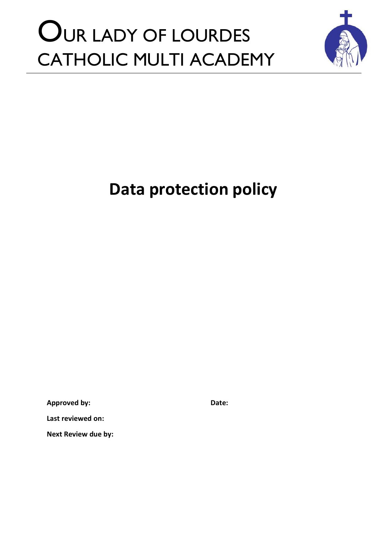# OUR LADY OF LOURDES CATHOLIC MULTI ACADEMY



## **Data protection policy**

**Approved by: Date:**

**Last reviewed on:**

**Next Review due by:**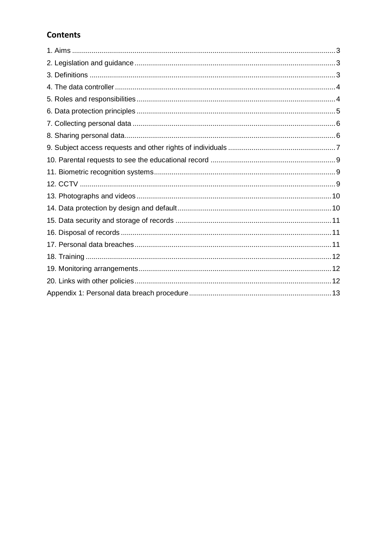### **Contents**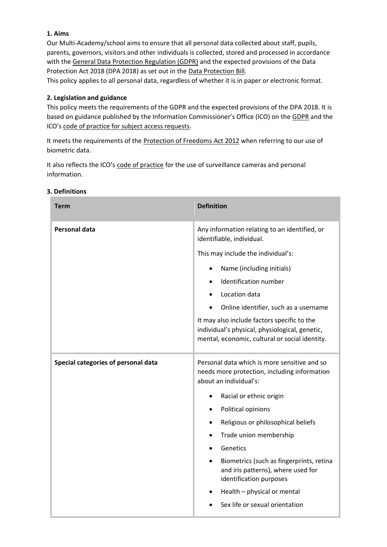#### **1. Aims**

Our Multi-Academy/school aims to ensure that all personal data collected about staff, pupils, parents, governors, visitors and other individuals is collected, stored and processed in accordance with the [General Data Protection Regulation \(GDPR\)](http://data.consilium.europa.eu/doc/document/ST-5419-2016-INIT/en/pdf) and the expected provisions of the Data Protection Act 2018 (DPA 2018) as set out in the [Data Protection Bill.](https://publications.parliament.uk/pa/bills/cbill/2017-2019/0153/18153.pdf)

This policy applies to all personal data, regardless of whether it is in paper or electronic format.

#### **2. Legislation and guidance**

This policy meets the requirements of the GDPR and the expected provisions of the DPA 2018. It is based on guidance published by the Information Commissioner's Office (ICO) on the [GDPR](https://ico.org.uk/for-organisations/guide-to-the-general-data-protection-regulation-gdpr/individual-rights/right-to-be-informed/) and the ICO's [code of practice for subject access requests.](https://ico.org.uk/media/for-organisations/documents/2014223/subject-access-code-of-practice.pdf)

It meets the requirements of the [Protection of Freedoms Act 2012](https://www.legislation.gov.uk/ukpga/2012/9/part/1/chapter/2) when referring to our use of biometric data.

It also reflects the ICO's [code of practice](https://ico.org.uk/media/for-organisations/documents/1542/cctv-code-of-practice.pdf) for the use of surveillance cameras and personal information.

| <b>Term</b>                         | <b>Definition</b>                                                                                                                               |
|-------------------------------------|-------------------------------------------------------------------------------------------------------------------------------------------------|
| <b>Personal data</b>                | Any information relating to an identified, or<br>identifiable, individual.                                                                      |
|                                     | This may include the individual's:                                                                                                              |
|                                     | Name (including initials)<br>$\bullet$                                                                                                          |
|                                     | Identification number                                                                                                                           |
|                                     | Location data                                                                                                                                   |
|                                     | Online identifier, such as a username                                                                                                           |
|                                     | It may also include factors specific to the<br>individual's physical, physiological, genetic,<br>mental, economic, cultural or social identity. |
| Special categories of personal data | Personal data which is more sensitive and so<br>needs more protection, including information<br>about an individual's:                          |
|                                     | Racial or ethnic origin<br>$\bullet$                                                                                                            |
|                                     | Political opinions                                                                                                                              |
|                                     | Religious or philosophical beliefs<br>٠                                                                                                         |
|                                     | Trade union membership<br>٠                                                                                                                     |
|                                     | Genetics                                                                                                                                        |
|                                     | Biometrics (such as fingerprints, retina<br>and iris patterns), where used for<br>identification purposes                                       |
|                                     | Health - physical or mental                                                                                                                     |
|                                     | Sex life or sexual orientation                                                                                                                  |

#### **3. Definitions**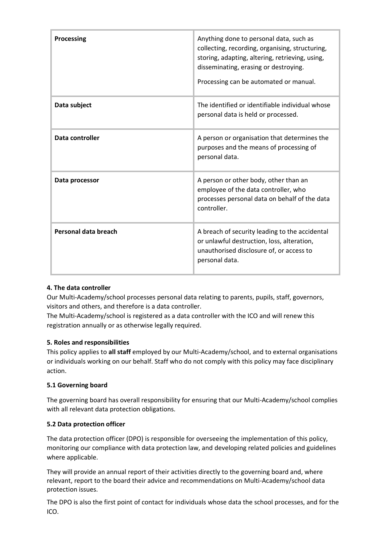| <b>Processing</b>    | Anything done to personal data, such as<br>collecting, recording, organising, structuring,<br>storing, adapting, altering, retrieving, using,<br>disseminating, erasing or destroying.<br>Processing can be automated or manual. |
|----------------------|----------------------------------------------------------------------------------------------------------------------------------------------------------------------------------------------------------------------------------|
| Data subject         | The identified or identifiable individual whose<br>personal data is held or processed.                                                                                                                                           |
| Data controller      | A person or organisation that determines the<br>purposes and the means of processing of<br>personal data.                                                                                                                        |
| Data processor       | A person or other body, other than an<br>employee of the data controller, who<br>processes personal data on behalf of the data<br>controller.                                                                                    |
| Personal data breach | A breach of security leading to the accidental<br>or unlawful destruction, loss, alteration,<br>unauthorised disclosure of, or access to<br>personal data.                                                                       |

#### **4. The data controller**

Our Multi-Academy/school processes personal data relating to parents, pupils, staff, governors, visitors and others, and therefore is a data controller.

The Multi-Academy/school is registered as a data controller with the ICO and will renew this registration annually or as otherwise legally required.

#### **5. Roles and responsibilities**

This policy applies to **all staff** employed by our Multi-Academy/school, and to external organisations or individuals working on our behalf. Staff who do not comply with this policy may face disciplinary action.

#### **5.1 Governing board**

The governing board has overall responsibility for ensuring that our Multi-Academy/school complies with all relevant data protection obligations.

#### **5.2 Data protection officer**

The data protection officer (DPO) is responsible for overseeing the implementation of this policy, monitoring our compliance with data protection law, and developing related policies and guidelines where applicable.

They will provide an annual report of their activities directly to the governing board and, where relevant, report to the board their advice and recommendations on Multi-Academy/school data protection issues.

The DPO is also the first point of contact for individuals whose data the school processes, and for the ICO.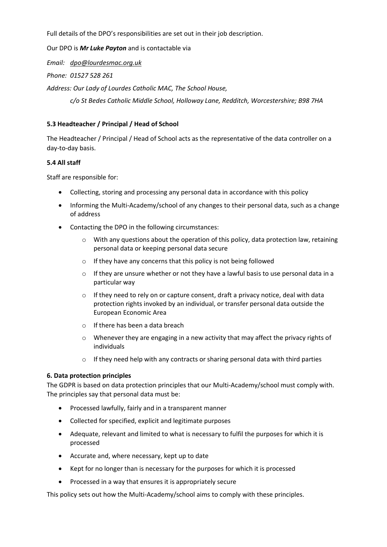Full details of the DPO's responsibilities are set out in their job description.

Our DPO is *Mr Luke Payton* and is contactable via

*Email: [dpo@lourdesmac.org.uk](mailto:dpo@lourdesmac.org.uk)*

*Phone: 01527 528 261*

*Address: Our Lady of Lourdes Catholic MAC, The School House,* 

*c/o St Bedes Catholic Middle School, Holloway Lane, Redditch, Worcestershire; B98 7HA*

#### **5.3 Headteacher / Principal / Head of School**

The Headteacher / Principal / Head of School acts as the representative of the data controller on a day-to-day basis.

#### **5.4 All staff**

Staff are responsible for:

- Collecting, storing and processing any personal data in accordance with this policy
- Informing the Multi-Academy/school of any changes to their personal data, such as a change of address
- Contacting the DPO in the following circumstances:
	- $\circ$  With any questions about the operation of this policy, data protection law, retaining personal data or keeping personal data secure
	- o If they have any concerns that this policy is not being followed
	- $\circ$  If they are unsure whether or not they have a lawful basis to use personal data in a particular way
	- $\circ$  If they need to rely on or capture consent, draft a privacy notice, deal with data protection rights invoked by an individual, or transfer personal data outside the European Economic Area
	- $\circ$  If there has been a data breach
	- $\circ$  Whenever they are engaging in a new activity that may affect the privacy rights of individuals
	- $\circ$  If they need help with any contracts or sharing personal data with third parties

#### **6. Data protection principles**

The GDPR is based on data protection principles that our Multi-Academy/school must comply with. The principles say that personal data must be:

- Processed lawfully, fairly and in a transparent manner
- Collected for specified, explicit and legitimate purposes
- Adequate, relevant and limited to what is necessary to fulfil the purposes for which it is processed
- Accurate and, where necessary, kept up to date
- Kept for no longer than is necessary for the purposes for which it is processed
- Processed in a way that ensures it is appropriately secure

This policy sets out how the Multi-Academy/school aims to comply with these principles.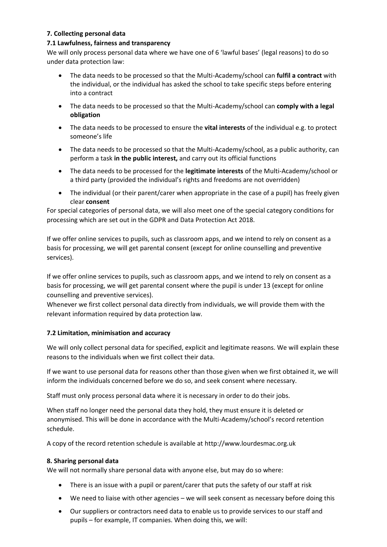#### **7. Collecting personal data**

#### **7.1 Lawfulness, fairness and transparency**

We will only process personal data where we have one of 6 'lawful bases' (legal reasons) to do so under data protection law:

- The data needs to be processed so that the Multi-Academy/school can **fulfil a contract** with the individual, or the individual has asked the school to take specific steps before entering into a contract
- The data needs to be processed so that the Multi-Academy/school can **comply with a legal obligation**
- The data needs to be processed to ensure the **vital interests** of the individual e.g. to protect someone's life
- The data needs to be processed so that the Multi-Academy/school, as a public authority, can perform a task **in the public interest,** and carry out its official functions
- The data needs to be processed for the **legitimate interests** of the Multi-Academy/school or a third party (provided the individual's rights and freedoms are not overridden)
- The individual (or their parent/carer when appropriate in the case of a pupil) has freely given clear **consent**

For special categories of personal data, we will also meet one of the special category conditions for processing which are set out in the GDPR and Data Protection Act 2018.

If we offer online services to pupils, such as classroom apps, and we intend to rely on consent as a basis for processing, we will get parental consent (except for online counselling and preventive services).

If we offer online services to pupils, such as classroom apps, and we intend to rely on consent as a basis for processing, we will get parental consent where the pupil is under 13 (except for online counselling and preventive services).

Whenever we first collect personal data directly from individuals, we will provide them with the relevant information required by data protection law.

#### **7.2 Limitation, minimisation and accuracy**

We will only collect personal data for specified, explicit and legitimate reasons. We will explain these reasons to the individuals when we first collect their data.

If we want to use personal data for reasons other than those given when we first obtained it, we will inform the individuals concerned before we do so, and seek consent where necessary.

Staff must only process personal data where it is necessary in order to do their jobs.

When staff no longer need the personal data they hold, they must ensure it is deleted or anonymised. This will be done in accordance with the Multi-Academy/school's record retention schedule.

A copy of the record retention schedule is available at http://www.lourdesmac.org.uk

#### **8. Sharing personal data**

We will not normally share personal data with anyone else, but may do so where:

- There is an issue with a pupil or parent/carer that puts the safety of our staff at risk
- We need to liaise with other agencies we will seek consent as necessary before doing this
- Our suppliers or contractors need data to enable us to provide services to our staff and pupils – for example, IT companies. When doing this, we will: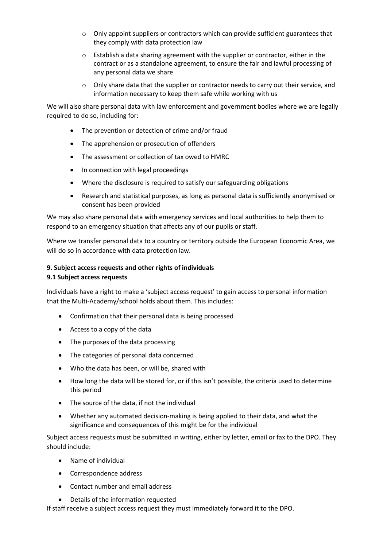- $\circ$  Only appoint suppliers or contractors which can provide sufficient guarantees that they comply with data protection law
- $\circ$  Establish a data sharing agreement with the supplier or contractor, either in the contract or as a standalone agreement, to ensure the fair and lawful processing of any personal data we share
- $\circ$  Only share data that the supplier or contractor needs to carry out their service, and information necessary to keep them safe while working with us

We will also share personal data with law enforcement and government bodies where we are legally required to do so, including for:

- The prevention or detection of crime and/or fraud
- The apprehension or prosecution of offenders
- The assessment or collection of tax owed to HMRC
- In connection with legal proceedings
- Where the disclosure is required to satisfy our safeguarding obligations
- Research and statistical purposes, as long as personal data is sufficiently anonymised or consent has been provided

We may also share personal data with emergency services and local authorities to help them to respond to an emergency situation that affects any of our pupils or staff.

Where we transfer personal data to a country or territory outside the European Economic Area, we will do so in accordance with data protection law.

#### **9. Subject access requests and other rights of individuals**

#### **9.1 Subject access requests**

Individuals have a right to make a 'subject access request' to gain access to personal information that the Multi-Academy/school holds about them. This includes:

- Confirmation that their personal data is being processed
- Access to a copy of the data
- The purposes of the data processing
- The categories of personal data concerned
- Who the data has been, or will be, shared with
- How long the data will be stored for, or if this isn't possible, the criteria used to determine this period
- The source of the data, if not the individual
- Whether any automated decision-making is being applied to their data, and what the significance and consequences of this might be for the individual

Subject access requests must be submitted in writing, either by letter, email or fax to the DPO. They should include:

- Name of individual
- Correspondence address
- Contact number and email address
- Details of the information requested

If staff receive a subject access request they must immediately forward it to the DPO.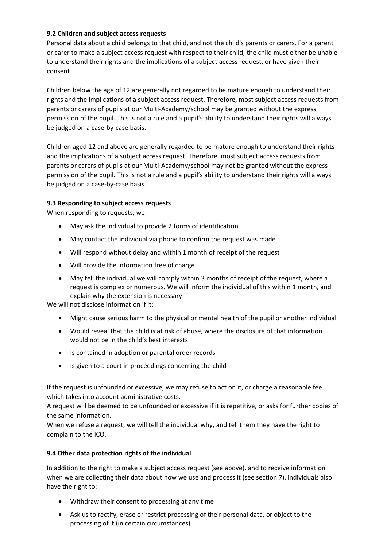#### **9.2 Children and subject access requests**

Personal data about a child belongs to that child, and not the child's parents or carers. For a parent or carer to make a subject access request with respect to their child, the child must either be unable to understand their rights and the implications of a subject access request, or have given their consent.

Children below the age of 12 are generally not regarded to be mature enough to understand their rights and the implications of a subject access request. Therefore, most subject access requests from parents or carers of pupils at our Multi-Academy/school may be granted without the express permission of the pupil. This is not a rule and a pupil's ability to understand their rights will always be judged on a case-by-case basis.

Children aged 12 and above are generally regarded to be mature enough to understand their rights and the implications of a subject access request. Therefore, most subject access requests from parents or carers of pupils at our Multi-Academy/school may not be granted without the express permission of the pupil. This is not a rule and a pupil's ability to understand their rights will always be judged on a case-by-case basis.

#### **9.3 Responding to subject access requests**

When responding to requests, we:

- May ask the individual to provide 2 forms of identification
- May contact the individual via phone to confirm the request was made
- Will respond without delay and within 1 month of receipt of the request
- Will provide the information free of charge
- May tell the individual we will comply within 3 months of receipt of the request, where a request is complex or numerous. We will inform the individual of this within 1 month, and explain why the extension is necessary

We will not disclose information if it:

- Might cause serious harm to the physical or mental health of the pupil or another individual
- Would reveal that the child is at risk of abuse, where the disclosure of that information would not be in the child's best interests
- Is contained in adoption or parental order records
- Is given to a court in proceedings concerning the child

If the request is unfounded or excessive, we may refuse to act on it, or charge a reasonable fee which takes into account administrative costs.

A request will be deemed to be unfounded or excessive if it is repetitive, or asks for further copies of the same information.

When we refuse a request, we will tell the individual why, and tell them they have the right to complain to the ICO.

#### **9.4 Other data protection rights of the individual**

In addition to the right to make a subject access request (see above), and to receive information when we are collecting their data about how we use and process it (see section 7), individuals also have the right to:

- Withdraw their consent to processing at any time
- Ask us to rectify, erase or restrict processing of their personal data, or object to the processing of it (in certain circumstances)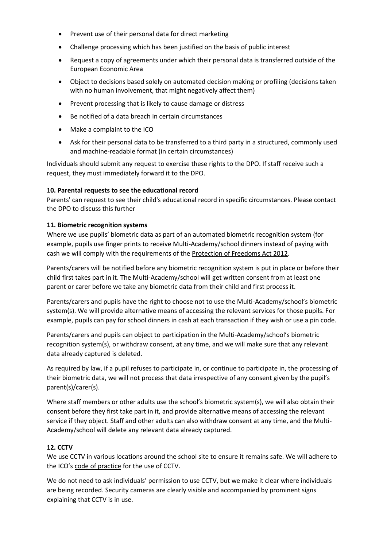- Prevent use of their personal data for direct marketing
- Challenge processing which has been justified on the basis of public interest
- Request a copy of agreements under which their personal data is transferred outside of the European Economic Area
- Object to decisions based solely on automated decision making or profiling (decisions taken with no human involvement, that might negatively affect them)
- Prevent processing that is likely to cause damage or distress
- Be notified of a data breach in certain circumstances
- Make a complaint to the ICO
- Ask for their personal data to be transferred to a third party in a structured, commonly used and machine-readable format (in certain circumstances)

Individuals should submit any request to exercise these rights to the DPO. If staff receive such a request, they must immediately forward it to the DPO.

#### **10. Parental requests to see the educational record**

Parents' can request to see their child's educational record in specific circumstances. Please contact the DPO to discuss this further

#### **11. Biometric recognition systems**

Where we use pupils' biometric data as part of an automated biometric recognition system (for example, pupils use finger prints to receive Multi-Academy/school dinners instead of paying with cash we will comply with the requirements of the [Protection of Freedoms Act 2012.](https://www.legislation.gov.uk/ukpga/2012/9/section/26)

Parents/carers will be notified before any biometric recognition system is put in place or before their child first takes part in it. The Multi-Academy/school will get written consent from at least one parent or carer before we take any biometric data from their child and first process it.

Parents/carers and pupils have the right to choose not to use the Multi-Academy/school's biometric system(s). We will provide alternative means of accessing the relevant services for those pupils. For example, pupils can pay for school dinners in cash at each transaction if they wish or use a pin code.

Parents/carers and pupils can object to participation in the Multi-Academy/school's biometric recognition system(s), or withdraw consent, at any time, and we will make sure that any relevant data already captured is deleted.

As required by law, if a pupil refuses to participate in, or continue to participate in, the processing of their biometric data, we will not process that data irrespective of any consent given by the pupil's parent(s)/carer(s).

Where staff members or other adults use the school's biometric system(s), we will also obtain their consent before they first take part in it, and provide alternative means of accessing the relevant service if they object. Staff and other adults can also withdraw consent at any time, and the Multi-Academy/school will delete any relevant data already captured.

#### **12. CCTV**

We use CCTV in various locations around the school site to ensure it remains safe. We will adhere to the ICO's [code of practice](https://ico.org.uk/media/for-organisations/documents/1542/cctv-code-of-practice.pdf) for the use of CCTV.

We do not need to ask individuals' permission to use CCTV, but we make it clear where individuals are being recorded. Security cameras are clearly visible and accompanied by prominent signs explaining that CCTV is in use.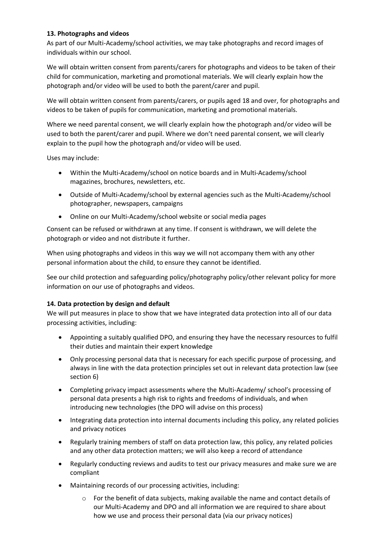#### **13. Photographs and videos**

As part of our Multi-Academy/school activities, we may take photographs and record images of individuals within our school.

We will obtain written consent from parents/carers for photographs and videos to be taken of their child for communication, marketing and promotional materials. We will clearly explain how the photograph and/or video will be used to both the parent/carer and pupil.

We will obtain written consent from parents/carers, or pupils aged 18 and over, for photographs and videos to be taken of pupils for communication, marketing and promotional materials.

Where we need parental consent, we will clearly explain how the photograph and/or video will be used to both the parent/carer and pupil. Where we don't need parental consent, we will clearly explain to the pupil how the photograph and/or video will be used.

Uses may include:

- Within the Multi-Academy/school on notice boards and in Multi-Academy/school magazines, brochures, newsletters, etc.
- Outside of Multi-Academy/school by external agencies such as the Multi-Academy/school photographer, newspapers, campaigns
- Online on our Multi-Academy/school website or social media pages

Consent can be refused or withdrawn at any time. If consent is withdrawn, we will delete the photograph or video and not distribute it further.

When using photographs and videos in this way we will not accompany them with any other personal information about the child, to ensure they cannot be identified.

See our child protection and safeguarding policy/photography policy/other relevant policy for more information on our use of photographs and videos.

#### **14. Data protection by design and default**

We will put measures in place to show that we have integrated data protection into all of our data processing activities, including:

- Appointing a suitably qualified DPO, and ensuring they have the necessary resources to fulfil their duties and maintain their expert knowledge
- Only processing personal data that is necessary for each specific purpose of processing, and always in line with the data protection principles set out in relevant data protection law (see section 6)
- Completing privacy impact assessments where the Multi-Academy/ school's processing of personal data presents a high risk to rights and freedoms of individuals, and when introducing new technologies (the DPO will advise on this process)
- Integrating data protection into internal documents including this policy, any related policies and privacy notices
- Regularly training members of staff on data protection law, this policy, any related policies and any other data protection matters; we will also keep a record of attendance
- Regularly conducting reviews and audits to test our privacy measures and make sure we are compliant
- Maintaining records of our processing activities, including:
	- $\circ$  For the benefit of data subjects, making available the name and contact details of our Multi-Academy and DPO and all information we are required to share about how we use and process their personal data (via our privacy notices)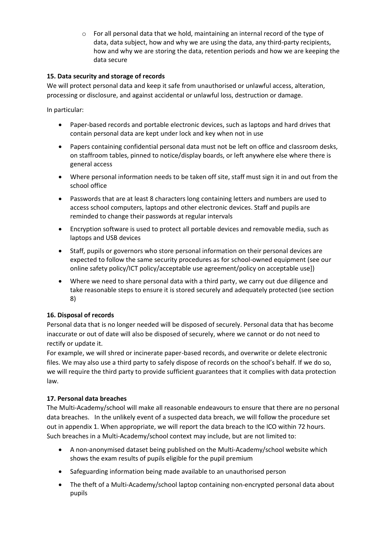$\circ$  For all personal data that we hold, maintaining an internal record of the type of data, data subject, how and why we are using the data, any third-party recipients, how and why we are storing the data, retention periods and how we are keeping the data secure

#### **15. Data security and storage of records**

We will protect personal data and keep it safe from unauthorised or unlawful access, alteration, processing or disclosure, and against accidental or unlawful loss, destruction or damage.

In particular:

- Paper-based records and portable electronic devices, such as laptops and hard drives that contain personal data are kept under lock and key when not in use
- Papers containing confidential personal data must not be left on office and classroom desks, on staffroom tables, pinned to notice/display boards, or left anywhere else where there is general access
- Where personal information needs to be taken off site, staff must sign it in and out from the school office
- Passwords that are at least 8 characters long containing letters and numbers are used to access school computers, laptops and other electronic devices. Staff and pupils are reminded to change their passwords at regular intervals
- Encryption software is used to protect all portable devices and removable media, such as laptops and USB devices
- Staff, pupils or governors who store personal information on their personal devices are expected to follow the same security procedures as for school-owned equipment (see our online safety policy/ICT policy/acceptable use agreement/policy on acceptable use])
- Where we need to share personal data with a third party, we carry out due diligence and take reasonable steps to ensure it is stored securely and adequately protected (see section 8)

#### **16. Disposal of records**

Personal data that is no longer needed will be disposed of securely. Personal data that has become inaccurate or out of date will also be disposed of securely, where we cannot or do not need to rectify or update it.

For example, we will shred or incinerate paper-based records, and overwrite or delete electronic files. We may also use a third party to safely dispose of records on the school's behalf. If we do so, we will require the third party to provide sufficient guarantees that it complies with data protection law.

#### **17. Personal data breaches**

The Multi-Academy/school will make all reasonable endeavours to ensure that there are no personal data breaches. In the unlikely event of a suspected data breach, we will follow the procedure set out in appendix 1. When appropriate, we will report the data breach to the ICO within 72 hours. Such breaches in a Multi-Academy/school context may include, but are not limited to:

- A non-anonymised dataset being published on the Multi-Academy/school website which shows the exam results of pupils eligible for the pupil premium
- Safeguarding information being made available to an unauthorised person
- The theft of a Multi-Academy/school laptop containing non-encrypted personal data about pupils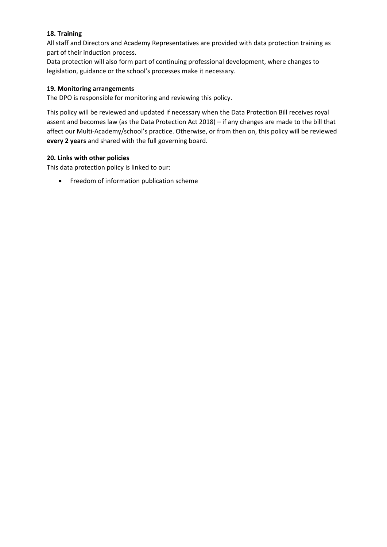#### **18. Training**

All staff and Directors and Academy Representatives are provided with data protection training as part of their induction process.

Data protection will also form part of continuing professional development, where changes to legislation, guidance or the school's processes make it necessary.

#### **19. Monitoring arrangements**

The DPO is responsible for monitoring and reviewing this policy.

This policy will be reviewed and updated if necessary when the Data Protection Bill receives royal assent and becomes law (as the Data Protection Act 2018) – if any changes are made to the bill that affect our Multi-Academy/school's practice. Otherwise, or from then on, this policy will be reviewed **every 2 years** and shared with the full governing board.

#### **20. Links with other policies**

This data protection policy is linked to our:

• Freedom of information publication scheme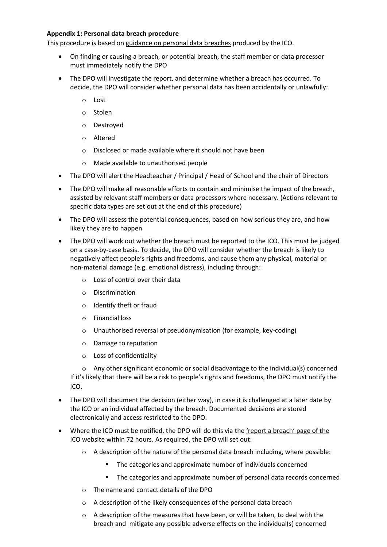#### **Appendix 1: Personal data breach procedure**

This procedure is based on [guidance on personal data breaches](https://ico.org.uk/for-organisations/guide-to-the-general-data-protection-regulation-gdpr/personal-data-breaches/) produced by the ICO.

- On finding or causing a breach, or potential breach, the staff member or data processor must immediately notify the DPO
- The DPO will investigate the report, and determine whether a breach has occurred. To decide, the DPO will consider whether personal data has been accidentally or unlawfully:
	- o Lost
	- o Stolen
	- o Destroyed
	- o Altered
	- o Disclosed or made available where it should not have been
	- o Made available to unauthorised people
- The DPO will alert the Headteacher / Principal / Head of School and the chair of Directors
- The DPO will make all reasonable efforts to contain and minimise the impact of the breach, assisted by relevant staff members or data processors where necessary. (Actions relevant to specific data types are set out at the end of this procedure)
- The DPO will assess the potential consequences, based on how serious they are, and how likely they are to happen
- The DPO will work out whether the breach must be reported to the ICO. This must be judged on a case-by-case basis. To decide, the DPO will consider whether the breach is likely to negatively affect people's rights and freedoms, and cause them any physical, material or non-material damage (e.g. emotional distress), including through:
	- o Loss of control over their data
	- o Discrimination
	- o Identify theft or fraud
	- o Financial loss
	- o Unauthorised reversal of pseudonymisation (for example, key-coding)
	- o Damage to reputation
	- o Loss of confidentiality

 $\circ$  Any other significant economic or social disadvantage to the individual(s) concerned If it's likely that there will be a risk to people's rights and freedoms, the DPO must notify the ICO.

- The DPO will document the decision (either way), in case it is challenged at a later date by the ICO or an individual affected by the breach. Documented decisions are stored electronically and access restricted to the DPO.
- Where the ICO must be notified, the DPO will do this via the ['report a breach' page of the](https://ico.org.uk/for-organisations/report-a-breach/)  [ICO website](https://ico.org.uk/for-organisations/report-a-breach/) within 72 hours. As required, the DPO will set out:
	- $\circ$  A description of the nature of the personal data breach including, where possible:
		- The categories and approximate number of individuals concerned
		- The categories and approximate number of personal data records concerned
	- o The name and contact details of the DPO
	- o A description of the likely consequences of the personal data breach
	- o A description of the measures that have been, or will be taken, to deal with the breach and mitigate any possible adverse effects on the individual(s) concerned